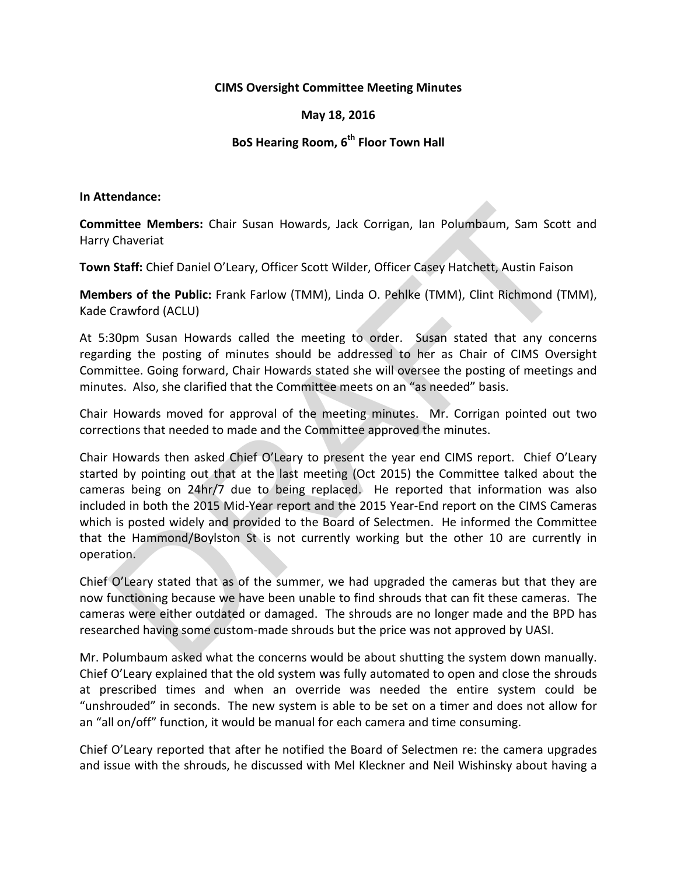## **CIMS Oversight Committee Meeting Minutes**

## **May 18, 2016**

## **BoS Hearing Room, 6th Floor Town Hall**

## **In Attendance:**

**Committee Members:** Chair Susan Howards, Jack Corrigan, Ian Polumbaum, Sam Scott and Harry Chaveriat

**Town Staff:** Chief Daniel O'Leary, Officer Scott Wilder, Officer Casey Hatchett, Austin Faison

**Members of the Public:** Frank Farlow (TMM), Linda O. Pehlke (TMM), Clint Richmond (TMM), Kade Crawford (ACLU)

At 5:30pm Susan Howards called the meeting to order. Susan stated that any concerns regarding the posting of minutes should be addressed to her as Chair of CIMS Oversight Committee. Going forward, Chair Howards stated she will oversee the posting of meetings and minutes. Also, she clarified that the Committee meets on an "as needed" basis.

Chair Howards moved for approval of the meeting minutes. Mr. Corrigan pointed out two corrections that needed to made and the Committee approved the minutes.

Chair Howards then asked Chief O'Leary to present the year end CIMS report. Chief O'Leary started by pointing out that at the last meeting (Oct 2015) the Committee talked about the cameras being on 24hr/7 due to being replaced. He reported that information was also included in both the 2015 Mid-Year report and the 2015 Year-End report on the CIMS Cameras which is posted widely and provided to the Board of Selectmen. He informed the Committee that the Hammond/Boylston St is not currently working but the other 10 are currently in operation. intitee Members: Chair Susan Howards, Jack Corrigan, Ian Polumbaum, Sam Scott<br>
Chaveriat<br>
Staff: Chief Daniel O'Leary, Officer Scott Wilder, Officer Casey Hatchett, Austin Faisor<br>
bers of the Public: Frank Farlow (TMM), Li

Chief O'Leary stated that as of the summer, we had upgraded the cameras but that they are now functioning because we have been unable to find shrouds that can fit these cameras. The cameras were either outdated or damaged. The shrouds are no longer made and the BPD has researched having some custom-made shrouds but the price was not approved by UASI.

Mr. Polumbaum asked what the concerns would be about shutting the system down manually. Chief O'Leary explained that the old system was fully automated to open and close the shrouds at prescribed times and when an override was needed the entire system could be "unshrouded" in seconds. The new system is able to be set on a timer and does not allow for an "all on/off" function, it would be manual for each camera and time consuming.

Chief O'Leary reported that after he notified the Board of Selectmen re: the camera upgrades and issue with the shrouds, he discussed with Mel Kleckner and Neil Wishinsky about having a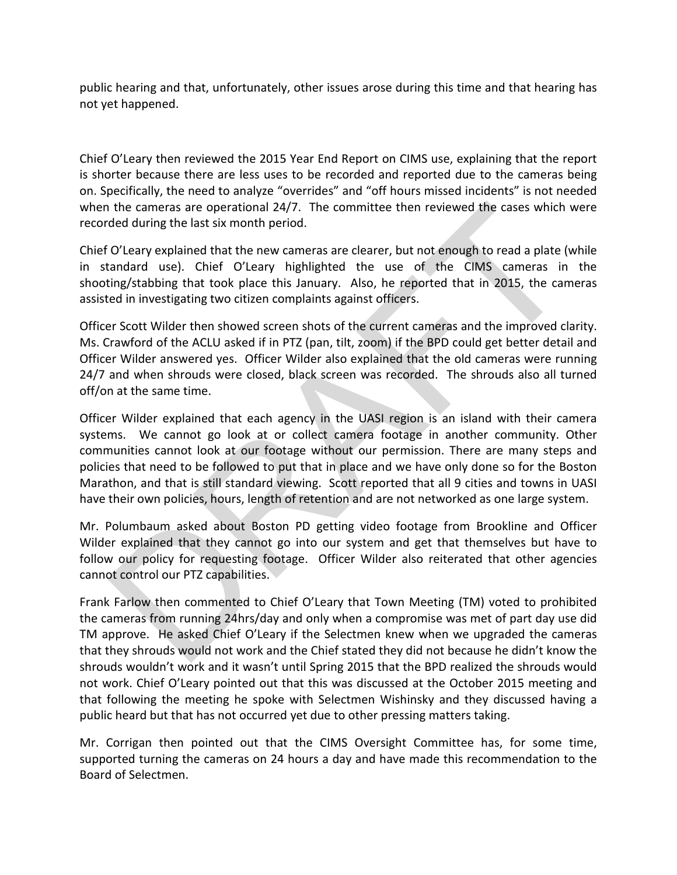public hearing and that, unfortunately, other issues arose during this time and that hearing has not yet happened.

Chief O'Leary then reviewed the 2015 Year End Report on CIMS use, explaining that the report is shorter because there are less uses to be recorded and reported due to the cameras being on. Specifically, the need to analyze "overrides" and "off hours missed incidents" is not needed when the cameras are operational 24/7. The committee then reviewed the cases which were recorded during the last six month period.

Chief O'Leary explained that the new cameras are clearer, but not enough to read a plate (while in standard use). Chief O'Leary highlighted the use of the CIMS cameras in the shooting/stabbing that took place this January. Also, he reported that in 2015, the cameras assisted in investigating two citizen complaints against officers.

Officer Scott Wilder then showed screen shots of the current cameras and the improved clarity. Ms. Crawford of the ACLU asked if in PTZ (pan, tilt, zoom) if the BPD could get better detail and Officer Wilder answered yes. Officer Wilder also explained that the old cameras were running 24/7 and when shrouds were closed, black screen was recorded. The shrouds also all turned off/on at the same time.

Officer Wilder explained that each agency in the UASI region is an island with their camera systems. We cannot go look at or collect camera footage in another community. Other communities cannot look at our footage without our permission. There are many steps and policies that need to be followed to put that in place and we have only done so for the Boston Marathon, and that is still standard viewing. Scott reported that all 9 cities and towns in UASI have their own policies, hours, length of retention and are not networked as one large system. the cameras are operational 24/7. The committee then reviewed the cases which<br>ded during the last six month period.<br>O'Leary explained that the new cameras are clearer, but not enough to read a plate (v<br>10'Leary highlighted

Mr. Polumbaum asked about Boston PD getting video footage from Brookline and Officer Wilder explained that they cannot go into our system and get that themselves but have to follow our policy for requesting footage. Officer Wilder also reiterated that other agencies cannot control our PTZ capabilities.

Frank Farlow then commented to Chief O'Leary that Town Meeting (TM) voted to prohibited the cameras from running 24hrs/day and only when a compromise was met of part day use did TM approve. He asked Chief O'Leary if the Selectmen knew when we upgraded the cameras that they shrouds would not work and the Chief stated they did not because he didn't know the shrouds wouldn't work and it wasn't until Spring 2015 that the BPD realized the shrouds would not work. Chief O'Leary pointed out that this was discussed at the October 2015 meeting and that following the meeting he spoke with Selectmen Wishinsky and they discussed having a public heard but that has not occurred yet due to other pressing matters taking.

Mr. Corrigan then pointed out that the CIMS Oversight Committee has, for some time, supported turning the cameras on 24 hours a day and have made this recommendation to the Board of Selectmen.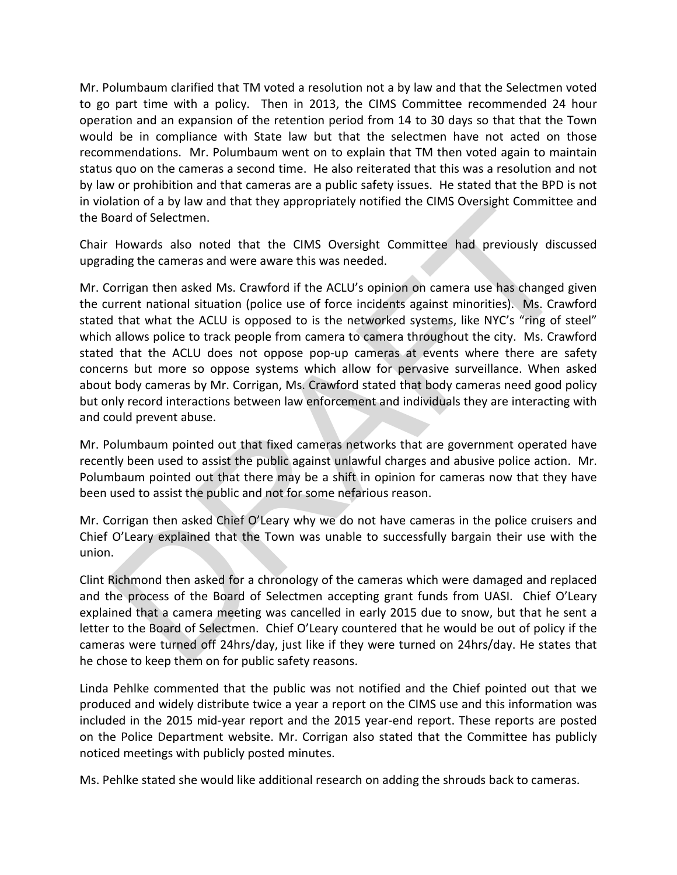Mr. Polumbaum clarified that TM voted a resolution not a by law and that the Selectmen voted to go part time with a policy. Then in 2013, the CIMS Committee recommended 24 hour operation and an expansion of the retention period from 14 to 30 days so that that the Town would be in compliance with State law but that the selectmen have not acted on those recommendations. Mr. Polumbaum went on to explain that TM then voted again to maintain status quo on the cameras a second time. He also reiterated that this was a resolution and not by law or prohibition and that cameras are a public safety issues. He stated that the BPD is not in violation of a by law and that they appropriately notified the CIMS Oversight Committee and the Board of Selectmen.

Chair Howards also noted that the CIMS Oversight Committee had previously discussed upgrading the cameras and were aware this was needed.

Mr. Corrigan then asked Ms. Crawford if the ACLU's opinion on camera use has changed given the current national situation (police use of force incidents against minorities). Ms. Crawford stated that what the ACLU is opposed to is the networked systems, like NYC's "ring of steel" which allows police to track people from camera to camera throughout the city. Ms. Crawford stated that the ACLU does not oppose pop-up cameras at events where there are safety concerns but more so oppose systems which allow for pervasive surveillance. When asked about body cameras by Mr. Corrigan, Ms. Crawford stated that body cameras need good policy but only record interactions between law enforcement and individuals they are interacting with and could prevent abuse. and or a by law and that they appropriately noutied the Clinis Overlagin Committee<br>oard of Selectmen.<br>Howards also noted that the ClMS Oversight Committee had previously discu<br>ding the cameras and were aware this was neede

Mr. Polumbaum pointed out that fixed cameras networks that are government operated have recently been used to assist the public against unlawful charges and abusive police action. Mr. Polumbaum pointed out that there may be a shift in opinion for cameras now that they have been used to assist the public and not for some nefarious reason.

Mr. Corrigan then asked Chief O'Leary why we do not have cameras in the police cruisers and Chief O'Leary explained that the Town was unable to successfully bargain their use with the union.

Clint Richmond then asked for a chronology of the cameras which were damaged and replaced and the process of the Board of Selectmen accepting grant funds from UASI. Chief O'Leary explained that a camera meeting was cancelled in early 2015 due to snow, but that he sent a letter to the Board of Selectmen. Chief O'Leary countered that he would be out of policy if the cameras were turned off 24hrs/day, just like if they were turned on 24hrs/day. He states that he chose to keep them on for public safety reasons.

Linda Pehlke commented that the public was not notified and the Chief pointed out that we produced and widely distribute twice a year a report on the CIMS use and this information was included in the 2015 mid-year report and the 2015 year-end report. These reports are posted on the Police Department website. Mr. Corrigan also stated that the Committee has publicly noticed meetings with publicly posted minutes.

Ms. Pehlke stated she would like additional research on adding the shrouds back to cameras.